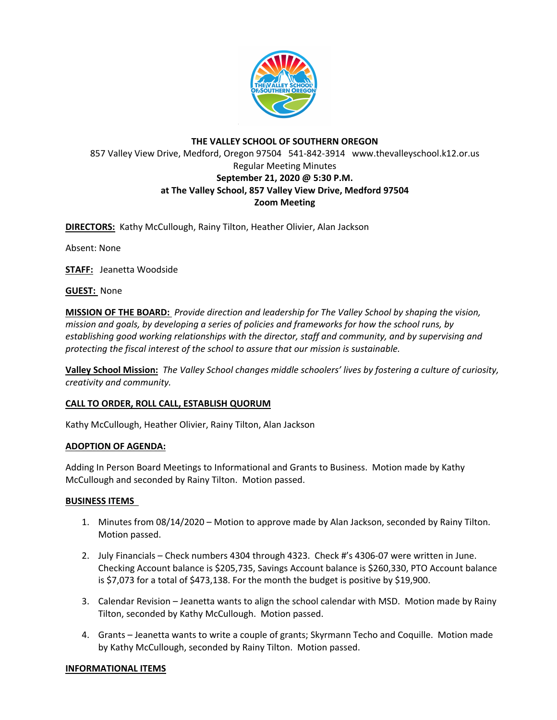

# **THE VALLEY SCHOOL OF SOUTHERN OREGON** 857 Valley View Drive, Medford, Oregon 97504 541-842-3914 www.thevalleyschool.k12.or.us Regular Meeting Minutes **September 21, 2020 @ 5:30 P.M. at The Valley School, 857 Valley View Drive, Medford 97504 Zoom Meeting**

**DIRECTORS:** Kathy McCullough, Rainy Tilton, Heather Olivier, Alan Jackson

Absent: None

**STAFF:** Jeanetta Woodside

**GUEST:** None

**MISSION OF THE BOARD:** *Provide direction and leadership for The Valley School by shaping the vision, mission and goals, by developing a series of policies and frameworks for how the school runs, by establishing good working relationships with the director, staff and community, and by supervising and protecting the fiscal interest of the school to assure that our mission is sustainable.*

**Valley School Mission:** *The Valley School changes middle schoolers' lives by fostering a culture of curiosity, creativity and community.*

## **CALL TO ORDER, ROLL CALL, ESTABLISH QUORUM**

Kathy McCullough, Heather Olivier, Rainy Tilton, Alan Jackson

## **ADOPTION OF AGENDA:**

Adding In Person Board Meetings to Informational and Grants to Business. Motion made by Kathy McCullough and seconded by Rainy Tilton. Motion passed.

## **BUSINESS ITEMS**

- 1. Minutes from 08/14/2020 Motion to approve made by Alan Jackson, seconded by Rainy Tilton. Motion passed.
- 2. July Financials Check numbers 4304 through 4323. Check #'s 4306-07 were written in June. Checking Account balance is \$205,735, Savings Account balance is \$260,330, PTO Account balance is \$7,073 for a total of \$473,138. For the month the budget is positive by \$19,900.
- 3. Calendar Revision Jeanetta wants to align the school calendar with MSD. Motion made by Rainy Tilton, seconded by Kathy McCullough. Motion passed.
- 4. Grants Jeanetta wants to write a couple of grants; Skyrmann Techo and Coquille. Motion made by Kathy McCullough, seconded by Rainy Tilton. Motion passed.

## **INFORMATIONAL ITEMS**